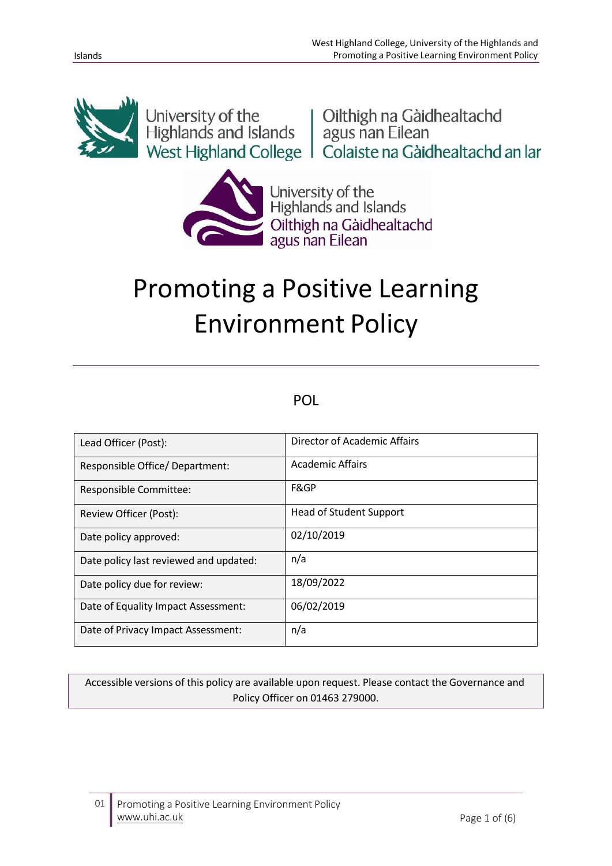

University of the University of the University of the Highlands and Islands and Islands agus nan Eilean University Press, West Highland College | Colaiste na Gàidhealtachd an Iar



University of the<br>Highlands and Islands Oilthigh na Gàidhealtachd<br>agus nan Eilean

# Promoting a Positive Learning Environment Policy

## POL

| Lead Officer (Post):                   | Director of Academic Affairs   |
|----------------------------------------|--------------------------------|
| Responsible Office/Department:         | <b>Academic Affairs</b>        |
| Responsible Committee:                 | F&GP                           |
| Review Officer (Post):                 | <b>Head of Student Support</b> |
| Date policy approved:                  | 02/10/2019                     |
| Date policy last reviewed and updated: | n/a                            |
| Date policy due for review:            | 18/09/2022                     |
| Date of Equality Impact Assessment:    | 06/02/2019                     |
| Date of Privacy Impact Assessment:     | n/a                            |

Accessible versions of this policy are available upon request. Please contact the Governance and Policy Officer on 01463 279000.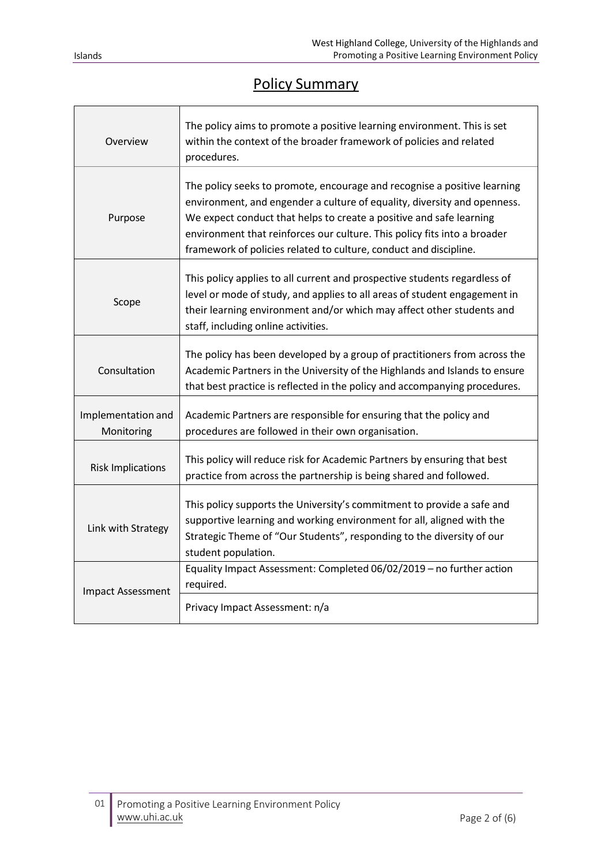## Policy Summary

| Overview                         | The policy aims to promote a positive learning environment. This is set<br>within the context of the broader framework of policies and related<br>procedures.                                                                                                                                                                                                                |
|----------------------------------|------------------------------------------------------------------------------------------------------------------------------------------------------------------------------------------------------------------------------------------------------------------------------------------------------------------------------------------------------------------------------|
| Purpose                          | The policy seeks to promote, encourage and recognise a positive learning<br>environment, and engender a culture of equality, diversity and openness.<br>We expect conduct that helps to create a positive and safe learning<br>environment that reinforces our culture. This policy fits into a broader<br>framework of policies related to culture, conduct and discipline. |
| Scope                            | This policy applies to all current and prospective students regardless of<br>level or mode of study, and applies to all areas of student engagement in<br>their learning environment and/or which may affect other students and<br>staff, including online activities.                                                                                                       |
| Consultation                     | The policy has been developed by a group of practitioners from across the<br>Academic Partners in the University of the Highlands and Islands to ensure<br>that best practice is reflected in the policy and accompanying procedures.                                                                                                                                        |
| Implementation and<br>Monitoring | Academic Partners are responsible for ensuring that the policy and<br>procedures are followed in their own organisation.                                                                                                                                                                                                                                                     |
| <b>Risk Implications</b>         | This policy will reduce risk for Academic Partners by ensuring that best<br>practice from across the partnership is being shared and followed.                                                                                                                                                                                                                               |
| Link with Strategy               | This policy supports the University's commitment to provide a safe and<br>supportive learning and working environment for all, aligned with the<br>Strategic Theme of "Our Students", responding to the diversity of our<br>student population.                                                                                                                              |
| <b>Impact Assessment</b>         | Equality Impact Assessment: Completed 06/02/2019 - no further action<br>required.                                                                                                                                                                                                                                                                                            |
|                                  | Privacy Impact Assessment: n/a                                                                                                                                                                                                                                                                                                                                               |

Г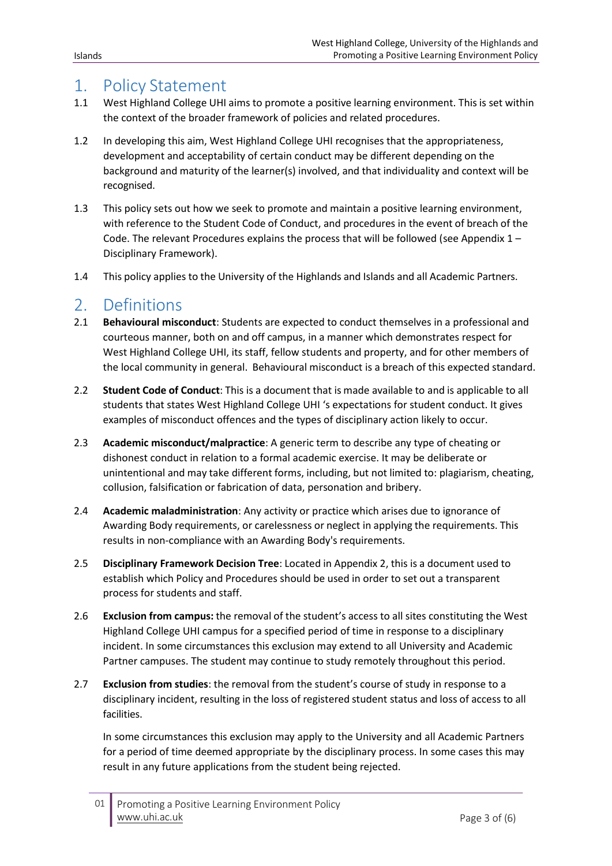#### 1. Policy Statement

- 1.1 West Highland College UHI aims to promote a positive learning environment. Thisis set within the context of the broader framework of policies and related procedures.
- 1.2 In developing this aim, West Highland College UHI recognises that the appropriateness, development and acceptability of certain conduct may be different depending on the background and maturity of the learner(s) involved, and that individuality and context will be recognised.
- 1.3 This policy sets out how we seek to promote and maintain a positive learning environment, with reference to the Student Code of Conduct, and procedures in the event of breach of the Code. The relevant Procedures explains the process that will be followed (see Appendix  $1 -$ Disciplinary Framework).
- 1.4 This policy applies to the University of the Highlands and Islands and all Academic Partners.

#### 2. Definitions

- 2.1 **Behavioural misconduct**: Students are expected to conduct themselves in a professional and courteous manner, both on and off campus, in a manner which demonstrates respect for West Highland College UHI, its staff, fellow students and property, and for other members of the local community in general. Behavioural misconduct is a breach of this expected standard.
- 2.2 **Student Code of Conduct**: This is a document that is made available to and is applicable to all students that states West Highland College UHI 's expectations for student conduct. It gives examples of misconduct offences and the types of disciplinary action likely to occur.
- 2.3 **Academic misconduct/malpractice**: A generic term to describe any type of cheating or dishonest conduct in relation to a formal academic exercise. It may be deliberate or unintentional and may take different forms, including, but not limited to: plagiarism, cheating, collusion, falsification or fabrication of data, personation and bribery.
- 2.4 **Academic maladministration**: Any activity or practice which arises due to ignorance of Awarding Body requirements, or carelessness or neglect in applying the requirements. This results in non-compliance with an Awarding Body's requirements.
- 2.5 **Disciplinary Framework Decision Tree**: Located in Appendix 2, this is a document used to establish which Policy and Procedures should be used in order to set out a transparent process for students and staff.
- 2.6 **Exclusion from campus:** the removal of the student's access to all sites constituting the West Highland College UHI campus for a specified period of time in response to a disciplinary incident. In some circumstances this exclusion may extend to all University and Academic Partner campuses. The student may continue to study remotely throughout this period.
- 2.7 **Exclusion from studies**: the removal from the student's course of study in response to a disciplinary incident, resulting in the loss of registered student status and loss of access to all facilities.

In some circumstances this exclusion may apply to the University and all Academic Partners for a period of time deemed appropriate by the disciplinary process. In some cases this may result in any future applications from the student being rejected.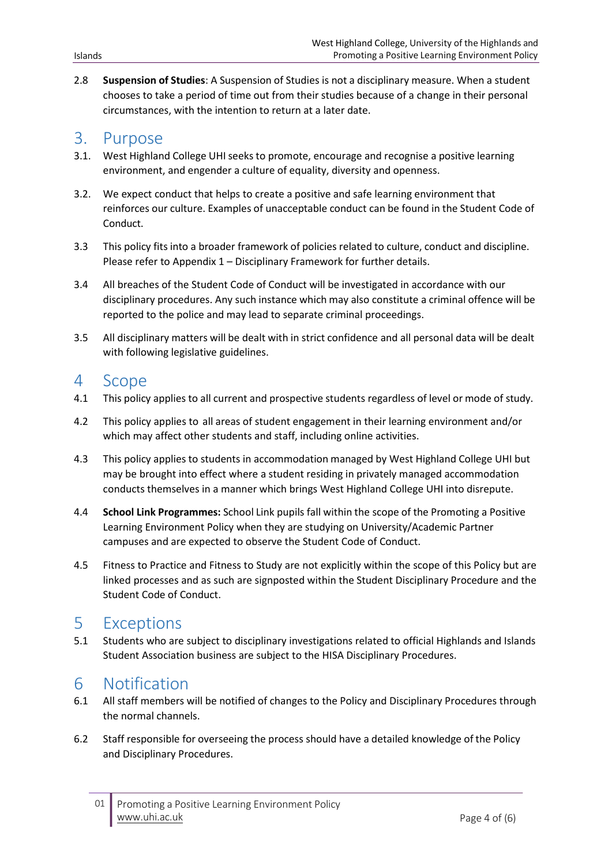2.8 **Suspension of Studies**: A Suspension of Studies is not a disciplinary measure. When a student chooses to take a period of time out from their studies because of a change in their personal circumstances, with the intention to return at a later date.

#### 3. Purpose

- 3.1. West Highland College UHI seeks to promote, encourage and recognise a positive learning environment, and engender a culture of equality, diversity and openness.
- 3.2. We expect conduct that helps to create a positive and safe learning environment that reinforces our culture. Examples of unacceptable conduct can be found in the Student Code of Conduct.
- 3.3 This policy fits into a broader framework of policies related to culture, conduct and discipline. Please refer to Appendix 1 – Disciplinary Framework for further details.
- 3.4 All breaches of the Student Code of Conduct will be investigated in accordance with our disciplinary procedures. Any such instance which may also constitute a criminal offence will be reported to the police and may lead to separate criminal proceedings.
- 3.5 All disciplinary matters will be dealt with in strict confidence and all personal data will be dealt with following legislative guidelines.

#### 4 Scope

- 4.1 This policy applies to all current and prospective students regardless of level or mode of study.
- 4.2 This policy applies to all areas of student engagement in their learning environment and/or which may affect other students and staff, including online activities.
- 4.3 This policy applies to students in accommodation managed by West Highland College UHI but may be brought into effect where a student residing in privately managed accommodation conducts themselves in a manner which brings West Highland College UHI into disrepute.
- 4.4 **School Link Programmes:** School Link pupils fall within the scope of the Promoting a Positive Learning Environment Policy when they are studying on University/Academic Partner campuses and are expected to observe the Student Code of Conduct.
- 4.5 Fitness to Practice and Fitness to Study are not explicitly within the scope of this Policy but are linked processes and as such are signposted within the Student Disciplinary Procedure and the Student Code of Conduct.

### 5 Exceptions

5.1 Students who are subject to disciplinary investigations related to official Highlands and Islands Student Association business are subject to the HISA Disciplinary Procedures.

### 6 Notification

- 6.1 All staff members will be notified of changes to the Policy and Disciplinary Procedures through the normal channels.
- 6.2 Staff responsible for overseeing the process should have a detailed knowledge of the Policy and Disciplinary Procedures.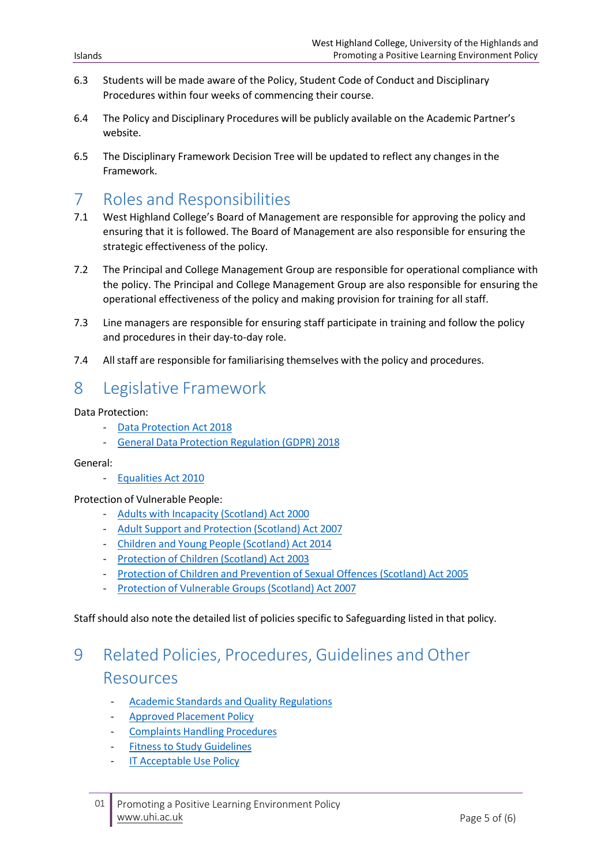- 6.3 Students will be made aware of the Policy, Student Code of Conduct and Disciplinary Procedures within four weeks of commencing their course.
- 6.4 The Policy and Disciplinary Procedures will be publicly available on the Academic Partner's website.
- 6.5 The Disciplinary Framework Decision Tree will be updated to reflect any changes in the Framework.

#### 7 Roles and Responsibilities

- 7.1 West Highland College's Board of Management are responsible for approving the policy and ensuring that it is followed. The Board of Management are also responsible for ensuring the strategic effectiveness of the policy.
- 7.2 The Principal and College Management Group are responsible for operational compliance with the policy. The Principal and College Management Group are also responsible for ensuring the operational effectiveness of the policy and making provision for training for all staff.
- 7.3 Line managers are responsible for ensuring staff participate in training and follow the policy and procedures in their day-to-day role.
- 7.4 All staff are responsible for familiarising themselves with the policy and procedures.

# 8 Legislative Framework

Data Protection:

- Data [Protection](http://www.legislation.gov.uk/ukpga/2018/12/contents/enacted) Act 2018
- General Data Protection [Regulation](https://ec.europa.eu/commission/priorities/justice-and-fundamental-rights/data-protection/2018-reform-eu-data-protection-rules_en) (GDPR) 2018

#### General:

- [Equalities](https://www.legislation.gov.uk/ukpga/2010/15/contents) Act 2010

#### Protection of Vulnerable People:

- Adults with [Incapacity](https://www.legislation.gov.uk/asp/2000/4/contents) (Scotland) Act 2000
- Adult Support and [Protection](https://www.legislation.gov.uk/asp/2007/10/contents) (Scotland) Act 2007
- Children and Young People [\(Scotland\)](http://www.legislation.gov.uk/asp/2014/8/contents/enacted) Act 2014
- [Protection](https://www.legislation.gov.uk/asp/2003/5/contents) of Children (Scotland) Act 2003
- Protection of Children and [Prevention](https://www.legislation.gov.uk/asp/2005/9/contents) of Sexual Offences (Scotland) Act 2005
- Protection of [Vulnerable](https://www.legislation.gov.uk/asp/2007/14/contents) Groups (Scotland) Act 2007

Staffshould also note the detailed list of policies specific to Safeguarding listed in that policy.

# 9 Related Policies, Procedures, Guidelines and Other Resources

- Academic Standards and Quality [Regulations](https://www.uhi.ac.uk/en/about-uhi/governance/policies-and-regulations/regulations/)
- **Approved [Placement](http://staffresources.uhi.ac.uk/SPT/pdf/Approved-Placement-policy.pdf) Policy**
- [Complaints](https://www.uhi.ac.uk/en/students/support/complaints/complaints-process/) Handling Procedures
- Fitness to Study [Guidelines](https://www.uhi.ac.uk/en/t4-media/one-web/university/about-uhi/governance/policies-and-regulations/policies/Fitness-to-Study-Guidelines.pdf)
- **IT [Acceptable](https://www.whc.uhi.ac.uk/about-us/governance/policies/) Use Policy**